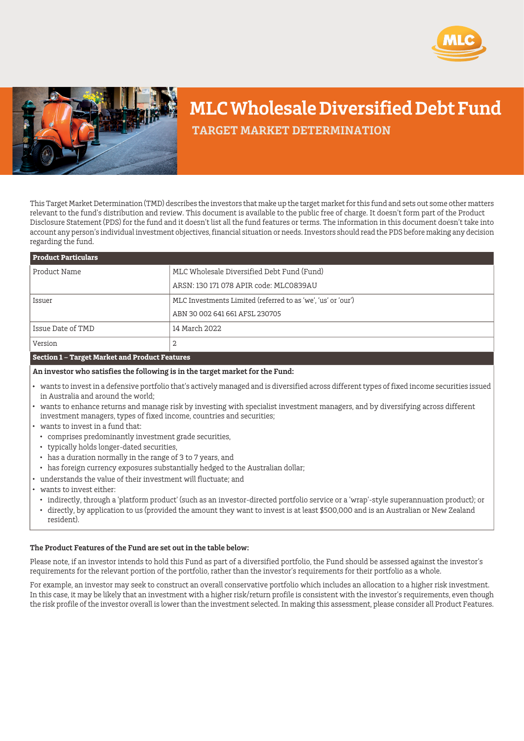



## **MLC Wholesale Diversified Debt Fund**

 **TARGET MARKET DETERMINATION**

This Target Market Determination (TMD) describes the investors that make up the target market for this fund and sets out some other matters relevant to the fund's distribution and review. This document is available to the public free of charge. It doesn't form part of the Product Disclosure Statement (PDS) for the fund and it doesn't list all the fund features or terms. The information in this document doesn't take into account any person's individual investment objectives, financial situation or needs. Investors should read the PDS before making any decision regarding the fund.

| <b>Product Particulars</b>                                                                                                                                                                                     |                                                              |  |  |
|----------------------------------------------------------------------------------------------------------------------------------------------------------------------------------------------------------------|--------------------------------------------------------------|--|--|
| Product Name                                                                                                                                                                                                   | MLC Wholesale Diversified Debt Fund (Fund)                   |  |  |
|                                                                                                                                                                                                                | ARSN: 130 171 078 APIR code: MLC0839AU                       |  |  |
| Issuer                                                                                                                                                                                                         | MLC Investments Limited (referred to as 'we', 'us' or 'our') |  |  |
|                                                                                                                                                                                                                | ABN 30 002 641 661 AFSL 230705                               |  |  |
| Issue Date of TMD                                                                                                                                                                                              | 14 March 2022                                                |  |  |
| Version                                                                                                                                                                                                        | 2                                                            |  |  |
| Section 1 - Target Market and Product Features                                                                                                                                                                 |                                                              |  |  |
| An investor who satisfies the following is in the target market for the Fund:                                                                                                                                  |                                                              |  |  |
| wants to invest in a defensive portfolio that's actively managed and is diversified across different types of fixed income securities issued<br>$\bullet$<br>in Australia and around the world;                |                                                              |  |  |
| wants to enhance returns and manage risk by investing with specialist investment managers, and by diversifying across different<br>l.<br>investment managers, types of fixed income, countries and securities; |                                                              |  |  |
| wants to invest in a fund that:                                                                                                                                                                                |                                                              |  |  |

- comprises predominantly investment grade securities,
- typically holds longer-dated securities,
- has a duration normally in the range of 3 to 7 years, and
- has foreign currency exposures substantially hedged to the Australian dollar;
- understands the value of their investment will fluctuate; and
- wants to invest either:
	- indirectly, through a 'platform product' (such as an investor-directed portfolio service or a 'wrap'-style superannuation product); or
- directly, by application to us (provided the amount they want to invest is at least \$500,000 and is an Australian or New Zealand resident).

## **The Product Features of the Fund are set out in the table below:**

Please note, if an investor intends to hold this Fund as part of a diversified portfolio, the Fund should be assessed against the investor's requirements for the relevant portion of the portfolio, rather than the investor's requirements for their portfolio as a whole.

For example, an investor may seek to construct an overall conservative portfolio which includes an allocation to a higher risk investment. In this case, it may be likely that an investment with a higher risk/return profile is consistent with the investor's requirements, even though the risk profile of the investor overall is lower than the investment selected. In making this assessment, please consider all Product Features.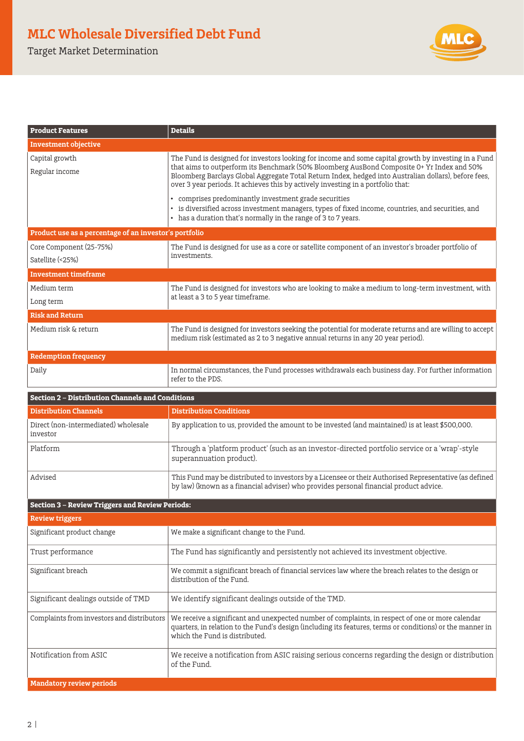Target Market Determination



| <b>Product Features</b>                                 | <b>Details</b>                                                                                                                                                                                                                                                                                                                                                                                  |  |  |  |
|---------------------------------------------------------|-------------------------------------------------------------------------------------------------------------------------------------------------------------------------------------------------------------------------------------------------------------------------------------------------------------------------------------------------------------------------------------------------|--|--|--|
| Investment objective                                    |                                                                                                                                                                                                                                                                                                                                                                                                 |  |  |  |
| Capital growth<br>Regular income                        | The Fund is designed for investors looking for income and some capital growth by investing in a Fund<br>that aims to outperform its Benchmark (50% Bloomberg AusBond Composite 0+ Yr Index and 50%<br>Bloomberg Barclays Global Aggregate Total Return Index, hedged into Australian dollars), before fees,<br>over 3 year periods. It achieves this by actively investing in a portfolio that: |  |  |  |
|                                                         | • comprises predominantly investment grade securities<br>• is diversified across investment managers, types of fixed income, countries, and securities, and<br>• has a duration that's normally in the range of 3 to 7 years.                                                                                                                                                                   |  |  |  |
| Product use as a percentage of an investor's portfolio  |                                                                                                                                                                                                                                                                                                                                                                                                 |  |  |  |
| Core Component (25-75%)<br>Satellite (<25%)             | The Fund is designed for use as a core or satellite component of an investor's broader portfolio of<br>investments.                                                                                                                                                                                                                                                                             |  |  |  |
| <b>Investment timeframe</b>                             |                                                                                                                                                                                                                                                                                                                                                                                                 |  |  |  |
| Medium term<br>Long term                                | The Fund is designed for investors who are looking to make a medium to long-term investment, with<br>at least a 3 to 5 year timeframe.                                                                                                                                                                                                                                                          |  |  |  |
| <b>Risk and Return</b>                                  |                                                                                                                                                                                                                                                                                                                                                                                                 |  |  |  |
| Medium risk & return                                    | The Fund is designed for investors seeking the potential for moderate returns and are willing to accept<br>medium risk (estimated as 2 to 3 negative annual returns in any 20 year period).                                                                                                                                                                                                     |  |  |  |
| <b>Redemption frequency</b>                             |                                                                                                                                                                                                                                                                                                                                                                                                 |  |  |  |
| Daily                                                   | In normal circumstances, the Fund processes withdrawals each business day. For further information<br>refer to the PDS.                                                                                                                                                                                                                                                                         |  |  |  |
| <b>Section 2 - Distribution Channels and Conditions</b> |                                                                                                                                                                                                                                                                                                                                                                                                 |  |  |  |
| <b>Distribution Channels</b>                            | <b>Distribution Conditions</b>                                                                                                                                                                                                                                                                                                                                                                  |  |  |  |
| Direct (non-intermediated) wholesale<br>investor        | By application to us, provided the amount to be invested (and maintained) is at least \$500,000.                                                                                                                                                                                                                                                                                                |  |  |  |
| Platform                                                | Through a 'platform product' (such as an investor-directed portfolio service or a 'wrap'-style<br>superannuation product).                                                                                                                                                                                                                                                                      |  |  |  |
| Advised                                                 | This Fund may be distributed to investors by a Licensee or their Authorised Representative (as defined<br>by law) (known as a financial adviser) who provides personal financial product advice.                                                                                                                                                                                                |  |  |  |
| <b>Section 3 - Review Triggers and Review Periods:</b>  |                                                                                                                                                                                                                                                                                                                                                                                                 |  |  |  |
| <b>Review triggers</b>                                  |                                                                                                                                                                                                                                                                                                                                                                                                 |  |  |  |
| Significant product change                              | We make a significant change to the Fund.                                                                                                                                                                                                                                                                                                                                                       |  |  |  |
| Trust performance                                       | The Fund has significantly and persistently not achieved its investment objective.                                                                                                                                                                                                                                                                                                              |  |  |  |
| Significant breach                                      | We commit a significant breach of financial services law where the breach relates to the design or<br>distribution of the Fund.                                                                                                                                                                                                                                                                 |  |  |  |
| Significant dealings outside of TMD                     | We identify significant dealings outside of the TMD.                                                                                                                                                                                                                                                                                                                                            |  |  |  |
| Complaints from investors and distributors              | We receive a significant and unexpected number of complaints, in respect of one or more calendar<br>quarters, in relation to the Fund's design (including its features, terms or conditions) or the manner in<br>which the Fund is distributed.                                                                                                                                                 |  |  |  |
| Notification from ASIC                                  | We receive a notification from ASIC raising serious concerns regarding the design or distribution<br>of the Fund.                                                                                                                                                                                                                                                                               |  |  |  |

**Mandatory review periods**